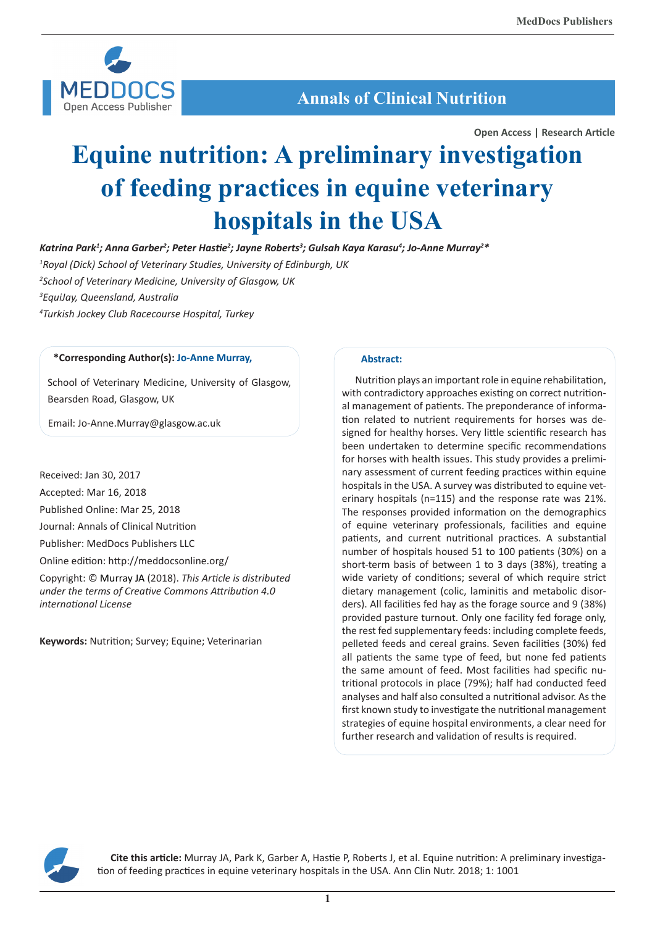

**Annals of Clinical Nutrition**

**Open Access | Research Article**

# **Equine nutrition: A preliminary investigation of feeding practices in equine veterinary hospitals in the USA**

*Katrina Park1 ; Anna Garber2 ; Peter Hastie<sup>2</sup> ; Jayne Roberts3 ; Gulsah Kaya Karasu4 ; Jo-Anne Murray2 \**

*1 Royal (Dick) School of Veterinary Studies, University of Edinburgh, UK*

*2 School of Veterinary Medicine, University of Glasgow, UK 3 EquiJay, Queensland, Australia 4 Turkish Jockey Club Racecourse Hospital, Turkey*

# **\*Corresponding Author(s): Jo-Anne Murray,**

School of Veterinary Medicine, University of Glasgow, Bearsden Road, Glasgow, UK

Email: Jo-Anne.Murray@glasgow.ac.uk

Received: Jan 30, 2017 Accepted: Mar 16, 2018 Published Online: Mar 25, 2018 Journal: Annals of Clinical Nutrition Publisher: MedDocs Publishers LLC Online edition: http://meddocsonline.org/ Copyright: © Murray JA (2018). *This Article is distributed under the terms of Creative Commons Attribution 4.0 international License*

**Keywords:** Nutrition; Survey; Equine; Veterinarian

## **Abstract:**

Nutrition plays an important role in equine rehabilitation, with contradictory approaches existing on correct nutritional management of patients. The preponderance of information related to nutrient requirements for horses was designed for healthy horses. Very little scientific research has been undertaken to determine specific recommendations for horses with health issues. This study provides a preliminary assessment of current feeding practices within equine hospitals in the USA. A survey was distributed to equine veterinary hospitals (n=115) and the response rate was 21%. The responses provided information on the demographics of equine veterinary professionals, facilities and equine patients, and current nutritional practices. A substantial number of hospitals housed 51 to 100 patients (30%) on a short-term basis of between 1 to 3 days (38%), treating a wide variety of conditions; several of which require strict dietary management (colic, laminitis and metabolic disorders). All facilities fed hay as the forage source and 9 (38%) provided pasture turnout. Only one facility fed forage only, the rest fed supplementary feeds: including complete feeds, pelleted feeds and cereal grains. Seven facilities (30%) fed all patients the same type of feed, but none fed patients the same amount of feed. Most facilities had specific nutritional protocols in place (79%); half had conducted feed analyses and half also consulted a nutritional advisor. As the first known study to investigate the nutritional management strategies of equine hospital environments, a clear need for further research and validation of results is required.



**Cite this article:** Murray JA, Park K, Garber A, Hastie P, Roberts J, et al. Equine nutrition: A preliminary investigation of feeding practices in equine veterinary hospitals in the USA. Ann Clin Nutr. 2018; 1: 1001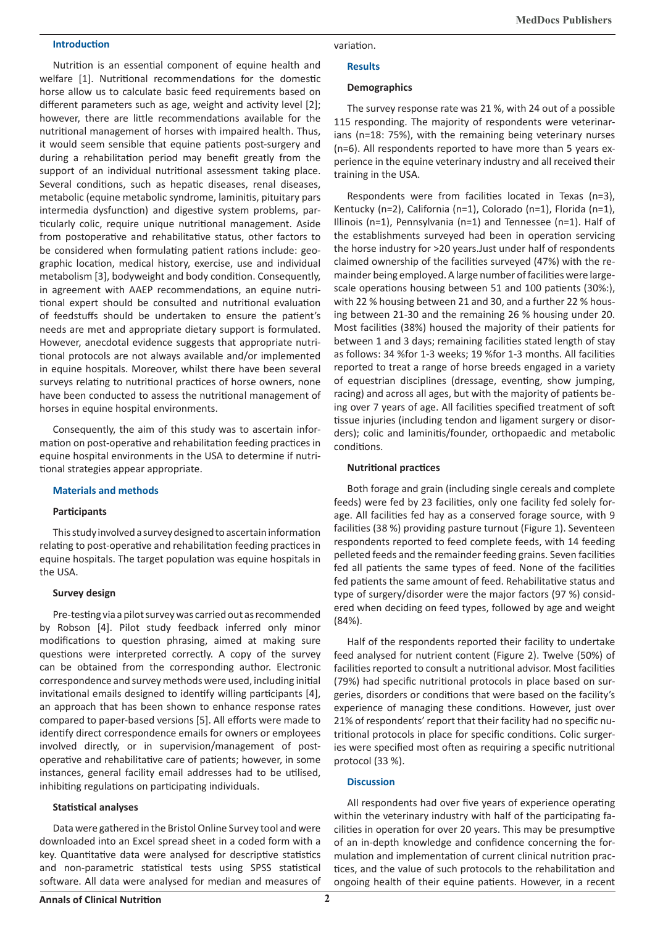### **Introduction**

Nutrition is an essential component of equine health and welfare [1]. Nutritional recommendations for the domestic horse allow us to calculate basic feed requirements based on different parameters such as age, weight and activity level [2]; however, there are little recommendations available for the nutritional management of horses with impaired health. Thus, it would seem sensible that equine patients post-surgery and during a rehabilitation period may benefit greatly from the support of an individual nutritional assessment taking place. Several conditions, such as hepatic diseases, renal diseases, metabolic (equine metabolic syndrome, laminitis, pituitary pars intermedia dysfunction) and digestive system problems, particularly colic, require unique nutritional management. Aside from postoperative and rehabilitative status, other factors to be considered when formulating patient rations include: geographic location, medical history, exercise, use and individual metabolism [3], bodyweight and body condition. Consequently, in agreement with AAEP recommendations, an equine nutritional expert should be consulted and nutritional evaluation of feedstuffs should be undertaken to ensure the patient's needs are met and appropriate dietary support is formulated. However, anecdotal evidence suggests that appropriate nutritional protocols are not always available and/or implemented in equine hospitals. Moreover, whilst there have been several surveys relating to nutritional practices of horse owners, none have been conducted to assess the nutritional management of horses in equine hospital environments.

Consequently, the aim of this study was to ascertain information on post-operative and rehabilitation feeding practices in equine hospital environments in the USA to determine if nutritional strategies appear appropriate.

## **Materials and methods**

#### **Participants**

This study involved a survey designed to ascertain information relating to post-operative and rehabilitation feeding practices in equine hospitals. The target population was equine hospitals in the USA.

#### **Survey design**

Pre-testing via a pilot survey was carried out as recommended by Robson [4]. Pilot study feedback inferred only minor modifications to question phrasing, aimed at making sure questions were interpreted correctly. A copy of the survey can be obtained from the corresponding author. Electronic correspondence and survey methods were used, including initial invitational emails designed to identify willing participants [4], an approach that has been shown to enhance response rates compared to paper-based versions [5]. All efforts were made to identify direct correspondence emails for owners or employees involved directly, or in supervision/management of postoperative and rehabilitative care of patients; however, in some instances, general facility email addresses had to be utilised, inhibiting regulations on participating individuals.

#### **Statistical analyses**

Data were gathered in the Bristol Online Survey tool and were downloaded into an Excel spread sheet in a coded form with a key. Quantitative data were analysed for descriptive statistics and non-parametric statistical tests using SPSS statistical software. All data were analysed for median and measures of

## variation.

### **Results**

#### **Demographics**

The survey response rate was 21 %, with 24 out of a possible 115 responding. The majority of respondents were veterinarians (n=18: 75%), with the remaining being veterinary nurses (n=6). All respondents reported to have more than 5 years experience in the equine veterinary industry and all received their training in the USA.

Respondents were from facilities located in Texas (n=3), Kentucky (n=2), California (n=1), Colorado (n=1), Florida (n=1), Illinois (n=1), Pennsylvania (n=1) and Tennessee (n=1). Half of the establishments surveyed had been in operation servicing the horse industry for >20 years.Just under half of respondents claimed ownership of the facilities surveyed (47%) with the remainder being employed. A large number of facilities were largescale operations housing between 51 and 100 patients (30%:), with 22 % housing between 21 and 30, and a further 22 % housing between 21-30 and the remaining 26 % housing under 20. Most facilities (38%) housed the majority of their patients for between 1 and 3 days; remaining facilities stated length of stay as follows: 34 %for 1-3 weeks; 19 %for 1-3 months. All facilities reported to treat a range of horse breeds engaged in a variety of equestrian disciplines (dressage, eventing, show jumping, racing) and across all ages, but with the majority of patients being over 7 years of age. All facilities specified treatment of soft tissue injuries (including tendon and ligament surgery or disorders); colic and laminitis/founder, orthopaedic and metabolic conditions.

## **Nutritional practices**

Both forage and grain (including single cereals and complete feeds) were fed by 23 facilities, only one facility fed solely forage. All facilities fed hay as a conserved forage source, with 9 facilities (38 %) providing pasture turnout (Figure 1). Seventeen respondents reported to feed complete feeds, with 14 feeding pelleted feeds and the remainder feeding grains. Seven facilities fed all patients the same types of feed. None of the facilities fed patients the same amount of feed. Rehabilitative status and type of surgery/disorder were the major factors (97 %) considered when deciding on feed types, followed by age and weight (84%).

Half of the respondents reported their facility to undertake feed analysed for nutrient content (Figure 2). Twelve (50%) of facilities reported to consult a nutritional advisor. Most facilities (79%) had specific nutritional protocols in place based on surgeries, disorders or conditions that were based on the facility's experience of managing these conditions. However, just over 21% of respondents' report that their facility had no specific nutritional protocols in place for specific conditions. Colic surgeries were specified most often as requiring a specific nutritional protocol (33 %).

## **Discussion**

All respondents had over five years of experience operating within the veterinary industry with half of the participating facilities in operation for over 20 years. This may be presumptive of an in-depth knowledge and confidence concerning the formulation and implementation of current clinical nutrition practices, and the value of such protocols to the rehabilitation and ongoing health of their equine patients. However, in a recent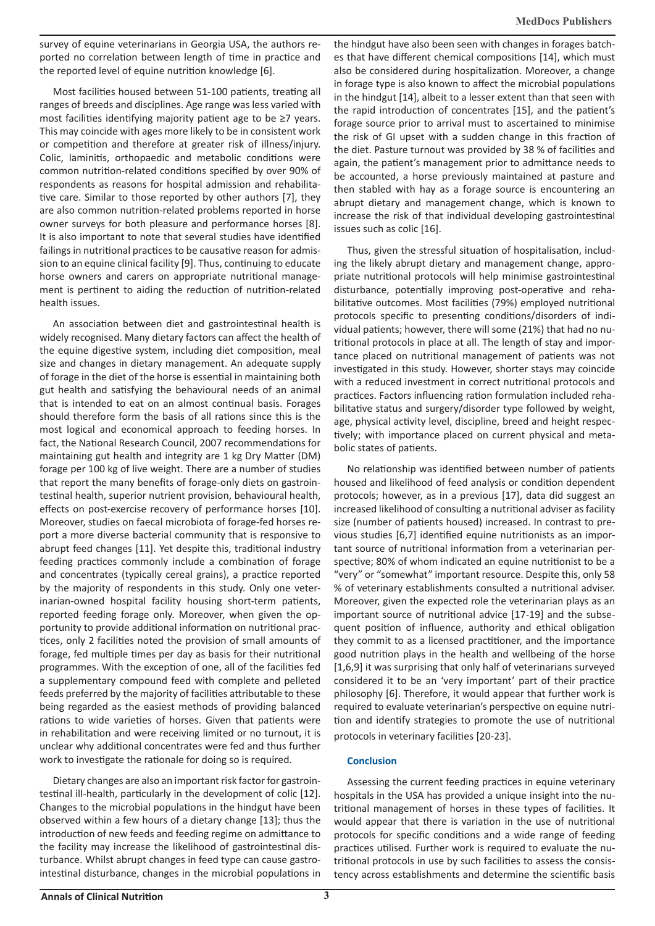survey of equine veterinarians in Georgia USA, the authors reported no correlation between length of time in practice and the reported level of equine nutrition knowledge [6].

Most facilities housed between 51-100 patients, treating all ranges of breeds and disciplines. Age range was less varied with most facilities identifying majority patient age to be ≥7 years. This may coincide with ages more likely to be in consistent work or competition and therefore at greater risk of illness/injury. Colic, laminitis, orthopaedic and metabolic conditions were common nutrition-related conditions specified by over 90% of respondents as reasons for hospital admission and rehabilitative care. Similar to those reported by other authors [7], they are also common nutrition-related problems reported in horse owner surveys for both pleasure and performance horses [8]. It is also important to note that several studies have identified failings in nutritional practices to be causative reason for admission to an equine clinical facility [9]. Thus, continuing to educate horse owners and carers on appropriate nutritional management is pertinent to aiding the reduction of nutrition-related health issues.

An association between diet and gastrointestinal health is widely recognised. Many dietary factors can affect the health of the equine digestive system, including diet composition, meal size and changes in dietary management. An adequate supply of forage in the diet of the horse is essential in maintaining both gut health and satisfying the behavioural needs of an animal that is intended to eat on an almost continual basis. Forages should therefore form the basis of all rations since this is the most logical and economical approach to feeding horses. In fact, the National Research Council, 2007 recommendations for maintaining gut health and integrity are 1 kg Dry Matter (DM) forage per 100 kg of live weight. There are a number of studies that report the many benefits of forage-only diets on gastrointestinal health, superior nutrient provision, behavioural health, effects on post-exercise recovery of performance horses [10]. Moreover, studies on faecal microbiota of forage-fed horses report a more diverse bacterial community that is responsive to abrupt feed changes [11]. Yet despite this, traditional industry feeding practices commonly include a combination of forage and concentrates (typically cereal grains), a practice reported by the majority of respondents in this study. Only one veterinarian-owned hospital facility housing short-term patients, reported feeding forage only. Moreover, when given the opportunity to provide additional information on nutritional practices, only 2 facilities noted the provision of small amounts of forage, fed multiple times per day as basis for their nutritional programmes. With the exception of one, all of the facilities fed a supplementary compound feed with complete and pelleted feeds preferred by the majority of facilities attributable to these being regarded as the easiest methods of providing balanced rations to wide varieties of horses. Given that patients were in rehabilitation and were receiving limited or no turnout, it is unclear why additional concentrates were fed and thus further work to investigate the rationale for doing so is required.

Dietary changes are also an important risk factor for gastrointestinal ill-health, particularly in the development of colic [12]. Changes to the microbial populations in the hindgut have been observed within a few hours of a dietary change [13]; thus the introduction of new feeds and feeding regime on admittance to the facility may increase the likelihood of gastrointestinal disturbance. Whilst abrupt changes in feed type can cause gastrointestinal disturbance, changes in the microbial populations in

the hindgut have also been seen with changes in forages batches that have different chemical compositions [14], which must also be considered during hospitalization. Moreover, a change in forage type is also known to affect the microbial populations in the hindgut [14], albeit to a lesser extent than that seen with the rapid introduction of concentrates [15], and the patient's forage source prior to arrival must to ascertained to minimise the risk of GI upset with a sudden change in this fraction of the diet. Pasture turnout was provided by 38 % of facilities and again, the patient's management prior to admittance needs to be accounted, a horse previously maintained at pasture and then stabled with hay as a forage source is encountering an abrupt dietary and management change, which is known to increase the risk of that individual developing gastrointestinal issues such as colic [16].

Thus, given the stressful situation of hospitalisation, including the likely abrupt dietary and management change, appropriate nutritional protocols will help minimise gastrointestinal disturbance, potentially improving post-operative and rehabilitative outcomes. Most facilities (79%) employed nutritional protocols specific to presenting conditions/disorders of individual patients; however, there will some (21%) that had no nutritional protocols in place at all. The length of stay and importance placed on nutritional management of patients was not investigated in this study. However, shorter stays may coincide with a reduced investment in correct nutritional protocols and practices. Factors influencing ration formulation included rehabilitative status and surgery/disorder type followed by weight, age, physical activity level, discipline, breed and height respectively; with importance placed on current physical and metabolic states of patients.

No relationship was identified between number of patients housed and likelihood of feed analysis or condition dependent protocols; however, as in a previous [17], data did suggest an increased likelihood of consulting a nutritional adviser as facility size (number of patients housed) increased. In contrast to previous studies [6,7] identified equine nutritionists as an important source of nutritional information from a veterinarian perspective; 80% of whom indicated an equine nutritionist to be a "very" or "somewhat" important resource. Despite this, only 58 % of veterinary establishments consulted a nutritional adviser. Moreover, given the expected role the veterinarian plays as an important source of nutritional advice [17-19] and the subsequent position of influence, authority and ethical obligation they commit to as a licensed practitioner, and the importance good nutrition plays in the health and wellbeing of the horse [1,6,9] it was surprising that only half of veterinarians surveyed considered it to be an 'very important' part of their practice philosophy [6]. Therefore, it would appear that further work is required to evaluate veterinarian's perspective on equine nutrition and identify strategies to promote the use of nutritional protocols in veterinary facilities [20-23].

## **Conclusion**

Assessing the current feeding practices in equine veterinary hospitals in the USA has provided a unique insight into the nutritional management of horses in these types of facilities. It would appear that there is variation in the use of nutritional protocols for specific conditions and a wide range of feeding practices utilised. Further work is required to evaluate the nutritional protocols in use by such facilities to assess the consistency across establishments and determine the scientific basis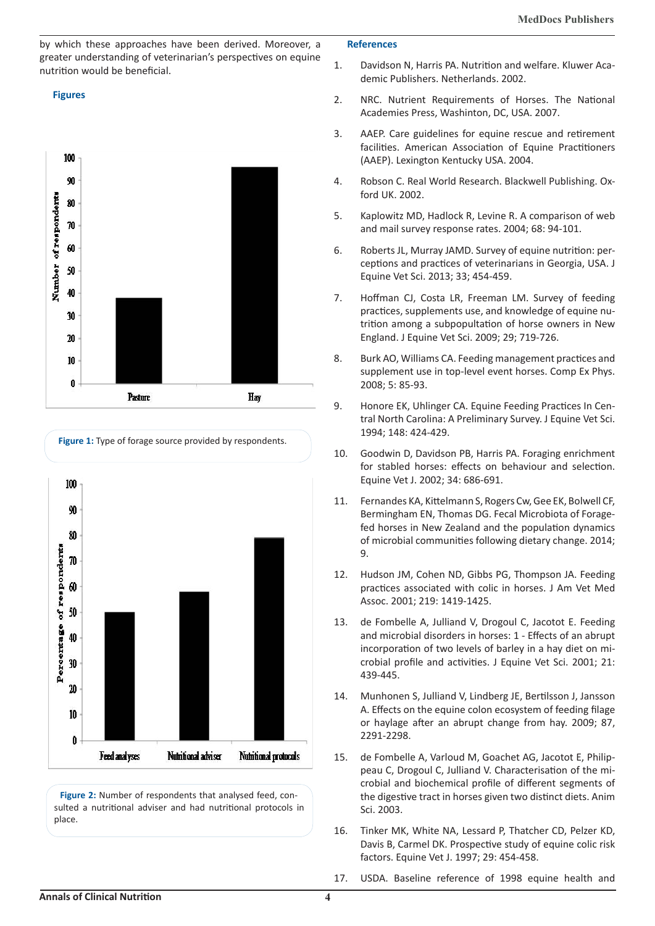by which these approaches have been derived. Moreover, a greater understanding of veterinarian's perspectives on equine nutrition would be beneficial.

# **Figures**







Figure 2: Number of respondents that analysed feed, consulted a nutritional adviser and had nutritional protocols in place.

## **References**

- 1. Davidson N, Harris PA. Nutrition and welfare. Kluwer Academic Publishers. Netherlands. 2002.
- 2. NRC. Nutrient Requirements of Horses. The National Academies Press, Washinton, DC, USA. 2007.
- 3. AAEP. Care guidelines for equine rescue and retirement facilities. American Association of Equine Practitioners (AAEP). Lexington Kentucky USA. 2004.
- 4. Robson C. Real World Research. Blackwell Publishing. Oxford UK. 2002.
- 5. Kaplowitz MD, Hadlock R, Levine R. A comparison of web and mail survey response rates. 2004; 68: 94-101.
- 6. Roberts JL, Murray JAMD. Survey of equine nutrition: perceptions and practices of veterinarians in Georgia, USA. J Equine Vet Sci. 2013; 33; 454-459.
- 7. Hoffman CJ, Costa LR, Freeman LM. Survey of feeding practices, supplements use, and knowledge of equine nutrition among a subpopultation of horse owners in New England. J Equine Vet Sci. 2009; 29; 719-726.
- 8. Burk AO, Williams CA. Feeding management practices and supplement use in top-level event horses. Comp Ex Phys. 2008; 5: 85-93.
- 9. Honore EK, Uhlinger CA. Equine Feeding Practices In Central North Carolina: A Preliminary Survey. J Equine Vet Sci. 1994; 148: 424-429.
- 10. Goodwin D, Davidson PB, Harris PA. Foraging enrichment for stabled horses: effects on behaviour and selection. Equine Vet J. 2002; 34: 686-691.
- 11. Fernandes KA, Kittelmann S, Rogers Cw, Gee EK, Bolwell CF, Bermingham EN, Thomas DG. Fecal Microbiota of Foragefed horses in New Zealand and the population dynamics of microbial communities following dietary change. 2014; 9.
- 12. Hudson JM, Cohen ND, Gibbs PG, Thompson JA. Feeding practices associated with colic in horses. J Am Vet Med Assoc. 2001; 219: 1419-1425.
- 13. de Fombelle A, Julliand V, Drogoul C, Jacotot E. Feeding and microbial disorders in horses: 1 - Effects of an abrupt incorporation of two levels of barley in a hay diet on microbial profile and activities. J Equine Vet Sci. 2001; 21: 439-445.
- 14. Munhonen S, Julliand V, Lindberg JE, Bertilsson J, Jansson A. Effects on the equine colon ecosystem of feeding filage or haylage after an abrupt change from hay. 2009; 87, 2291-2298.
- 15. de Fombelle A, Varloud M, Goachet AG, Jacotot E, Philippeau C, Drogoul C, Julliand V. Characterisation of the microbial and biochemical profile of different segments of the digestive tract in horses given two distinct diets. Anim Sci. 2003.
- 16. Tinker MK, White NA, Lessard P, Thatcher CD, Pelzer KD, Davis B, Carmel DK. Prospective study of equine colic risk factors. Equine Vet J. 1997; 29: 454-458.
- 17. USDA. Baseline reference of 1998 equine health and